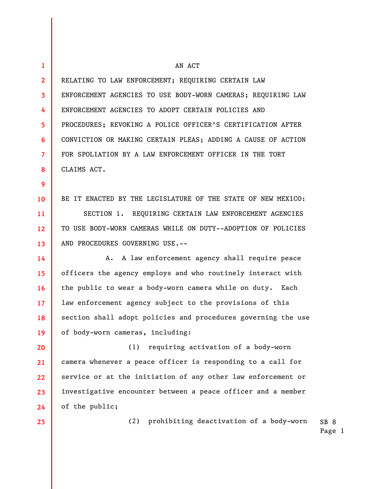| 1               | AN ACT                                                            |
|-----------------|-------------------------------------------------------------------|
| $\mathbf{2}$    | RELATING TO LAW ENFORCEMENT; REQUIRING CERTAIN LAW                |
| 3               | ENFORCEMENT AGENCIES TO USE BODY-WORN CAMERAS; REQUIRING LAW      |
| 4               | ENFORCEMENT AGENCIES TO ADOPT CERTAIN POLICIES AND                |
| 5               | PROCEDURES; REVOKING A POLICE OFFICER'S CERTIFICATION AFTER       |
| 6               | CONVICTION OR MAKING CERTAIN PLEAS; ADDING A CAUSE OF ACTION      |
| $\overline{7}$  | FOR SPOLIATION BY A LAW ENFORCEMENT OFFICER IN THE TORT           |
| 8               | CLAIMS ACT.                                                       |
| 9               |                                                                   |
| 10              | BE IT ENACTED BY THE LEGISLATURE OF THE STATE OF NEW MEXICO:      |
| 11              | SECTION 1. REQUIRING CERTAIN LAW ENFORCEMENT AGENCIES             |
| 12              | TO USE BODY-WORN CAMERAS WHILE ON DUTY--ADOPTION OF POLICIES      |
| 13              | AND PROCEDURES GOVERNING USE.--                                   |
| 14              | A. A law enforcement agency shall require peace                   |
| 15              | officers the agency employs and who routinely interact with       |
| 16              | the public to wear a body-worn camera while on duty. Each         |
| 17 <sup>2</sup> | law enforcement agency subject to the provisions of this          |
| 18              | section shall adopt policies and procedures governing the use     |
| 19              | of body-worn cameras, including:                                  |
| 20              | requiring activation of a body-worn<br>(1)                        |
| 21              | camera whenever a peace officer is responding to a call for       |
| 22              | service or at the initiation of any other law enforcement or      |
| 23              | investigative encounter between a peace officer and a member      |
| 24              | of the public;                                                    |
| 25              | prohibiting deactivation of a body-worn<br>(2)<br>SB <sub>8</sub> |

Page 1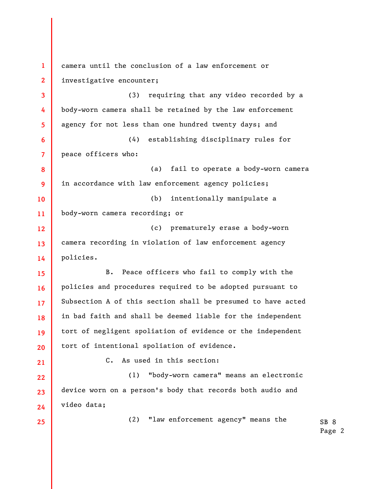**1 2 3 4 5 6 7 8 9 10 11 12 13 14 15 16 17 18 19 20 21 22 23 24 25**  camera until the conclusion of a law enforcement or investigative encounter; (3) requiring that any video recorded by a body-worn camera shall be retained by the law enforcement agency for not less than one hundred twenty days; and (4) establishing disciplinary rules for peace officers who: (a) fail to operate a body-worn camera in accordance with law enforcement agency policies; (b) intentionally manipulate a body-worn camera recording; or (c) prematurely erase a body-worn camera recording in violation of law enforcement agency policies. B. Peace officers who fail to comply with the policies and procedures required to be adopted pursuant to Subsection A of this section shall be presumed to have acted in bad faith and shall be deemed liable for the independent tort of negligent spoliation of evidence or the independent tort of intentional spoliation of evidence. C. As used in this section: (1) "body-worn camera" means an electronic device worn on a person's body that records both audio and video data; (2) "law enforcement agency" means the

SB 8 Page 2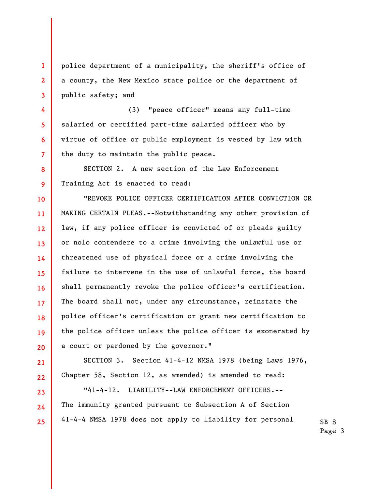police department of a municipality, the sheriff's office of a county, the New Mexico state police or the department of public safety; and

**1** 

**2** 

**3** 

**4** 

**5** 

**6** 

**7** 

**8** 

**9** 

**10** 

**11** 

**12** 

**13** 

**14** 

**15** 

**16** 

**17** 

**18** 

**19** 

**20** 

**21** 

**22** 

**23** 

**24** 

**25** 

(3) "peace officer" means any full-time salaried or certified part-time salaried officer who by virtue of office or public employment is vested by law with the duty to maintain the public peace.

SECTION 2. A new section of the Law Enforcement Training Act is enacted to read:

"REVOKE POLICE OFFICER CERTIFICATION AFTER CONVICTION OR MAKING CERTAIN PLEAS.--Notwithstanding any other provision of law, if any police officer is convicted of or pleads guilty or nolo contendere to a crime involving the unlawful use or threatened use of physical force or a crime involving the failure to intervene in the use of unlawful force, the board shall permanently revoke the police officer's certification. The board shall not, under any circumstance, reinstate the police officer's certification or grant new certification to the police officer unless the police officer is exonerated by a court or pardoned by the governor."

SECTION 3. Section 41-4-12 NMSA 1978 (being Laws 1976, Chapter 58, Section 12, as amended) is amended to read:

"41-4-12. LIABILITY--LAW ENFORCEMENT OFFICERS.-- The immunity granted pursuant to Subsection A of Section 41-4-4 NMSA 1978 does not apply to liability for personal

SB 8 Page 3